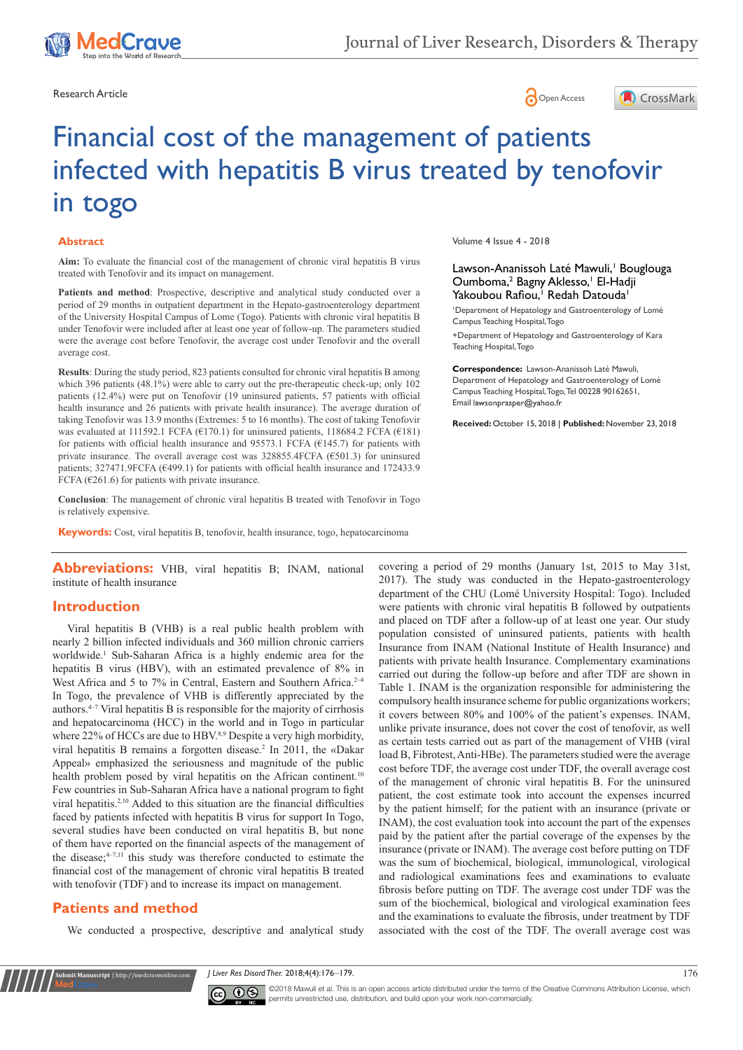

Research Article **Contracts** Contracts and Contracts Contracts Contracts Contracts Contracts Contracts Contracts Contracts Contracts Contracts Contracts Contracts Contracts Contracts Contracts Contracts Contracts Contracts





# Financial cost of the management of patients infected with hepatitis B virus treated by tenofovir in togo

#### **Abstract**

**Aim:** To evaluate the financial cost of the management of chronic viral hepatitis B virus treated with Tenofovir and its impact on management.

Patients and method: Prospective, descriptive and analytical study conducted over a period of 29 months in outpatient department in the Hepato-gastroenterology department of the University Hospital Campus of Lome (Togo). Patients with chronic viral hepatitis B under Tenofovir were included after at least one year of follow-up. The parameters studied were the average cost before Tenofovir, the average cost under Tenofovir and the overall average cost.

**Results**: During the study period, 823 patients consulted for chronic viral hepatitis B among which 396 patients (48.1%) were able to carry out the pre-therapeutic check-up; only 102 patients (12.4%) were put on Tenofovir (19 uninsured patients, 57 patients with official health insurance and 26 patients with private health insurance). The average duration of taking Tenofovir was 13.9 months (Extremes: 5 to 16 months). The cost of taking Tenofovir was evaluated at 111592.1 FCFA ( $E$ 170.1) for uninsured patients, 118684.2 FCFA ( $E$ 181) for patients with official health insurance and 95573.1 FCFA ( $E$ 145.7) for patients with private insurance. The overall average cost was 328855.4FCFA (€501.3) for uninsured patients; 327471.9FCFA (€499.1) for patients with official health insurance and 172433.9 FCFA ( $E261.6$ ) for patients with private insurance.

**Conclusion**: The management of chronic viral hepatitis B treated with Tenofovir in Togo is relatively expensive.

**Keywords:** Cost, viral hepatitis B, tenofovir, health insurance, togo, hepatocarcinoma

Abbreviations: VHB, viral hepatitis B; INAM, national institute of health insurance

## **Introduction**

Viral hepatitis B (VHB) is a real public health problem with nearly 2 billion infected individuals and 360 million chronic carriers worldwide.<sup>1</sup> Sub-Saharan Africa is a highly endemic area for the hepatitis B virus (HBV), with an estimated prevalence of 8% in West Africa and 5 to 7% in Central, Eastern and Southern Africa.<sup>2-4</sup> In Togo, the prevalence of VHB is differently appreciated by the authors.4–7 Viral hepatitis B is responsible for the majority of cirrhosis and hepatocarcinoma (HCC) in the world and in Togo in particular where 22% of HCCs are due to HBV.8,9 Despite a very high morbidity, viral hepatitis B remains a forgotten disease.<sup>2</sup> In 2011, the «Dakar Appeal» emphasized the seriousness and magnitude of the public health problem posed by viral hepatitis on the African continent.<sup>10</sup> Few countries in Sub-Saharan Africa have a national program to fight viral hepatitis.2,10 Added to this situation are the financial difficulties faced by patients infected with hepatitis B virus for support In Togo, several studies have been conducted on viral hepatitis B, but none of them have reported on the financial aspects of the management of the disease; $4-7,11$  this study was therefore conducted to estimate the financial cost of the management of chronic viral hepatitis B treated with tenofovir (TDF) and to increase its impact on management.

## **Patients and method**

We conducted a prospective, descriptive and analytical study

Volume 4 Issue 4 - 2018

## Lawson-Ananissoh Laté Mawuli,<sup>1</sup> Bouglouga Oumboma,<sup>2</sup> Bagny Aklesso,<sup>1</sup> El-Hadji Yakoubou Rafiou,<sup>1</sup> Redah Datouda<sup>1</sup>

1 Department of Hepatology and Gastroenterology of Lomé Campus Teaching Hospital, Togo

+Department of Hepatology and Gastroenterology of Kara Teaching Hospital, Togo

**Correspondence:** Lawson-Ananissoh Laté Mawuli, Department of Hepatology and Gastroenterology of Lomé Campus Teaching Hospital, Togo, Tel 00228 90162651, Email lawsonprasper@yahoo.fr

**Received:** October 15, 2018 | **Published:** November 23, 2018

covering a period of 29 months (January 1st, 2015 to May 31st, 2017). The study was conducted in the Hepato-gastroenterology department of the CHU (Lomé University Hospital: Togo). Included were patients with chronic viral hepatitis B followed by outpatients and placed on TDF after a follow-up of at least one year. Our study population consisted of uninsured patients, patients with health Insurance from INAM (National Institute of Health Insurance) and patients with private health Insurance. Complementary examinations carried out during the follow-up before and after TDF are shown in Table 1. INAM is the organization responsible for administering the compulsory health insurance scheme for public organizations workers; it covers between 80% and 100% of the patient's expenses. INAM, unlike private insurance, does not cover the cost of tenofovir, as well as certain tests carried out as part of the management of VHB (viral load B, Fibrotest, Anti-HBe). The parameters studied were the average cost before TDF, the average cost under TDF, the overall average cost of the management of chronic viral hepatitis B. For the uninsured patient, the cost estimate took into account the expenses incurred by the patient himself; for the patient with an insurance (private or INAM), the cost evaluation took into account the part of the expenses paid by the patient after the partial coverage of the expenses by the insurance (private or INAM). The average cost before putting on TDF was the sum of biochemical, biological, immunological, virological and radiological examinations fees and examinations to evaluate fibrosis before putting on TDF. The average cost under TDF was the sum of the biochemical, biological and virological examination fees and the examinations to evaluate the fibrosis, under treatment by TDF associated with the cost of the TDF. The overall average cost was

*I* Liver Res Disord Ther. 2018;4(4):176–179. 176 (1998) 176



©2018 Mawuli et al. This is an open access article distributed under the terms of the [Creative Commons Attribution License,](https://creativecommons.org/licenses/by-nc/4.0/) which permits unrestricted use, distribution, and build upon your work non-commercially.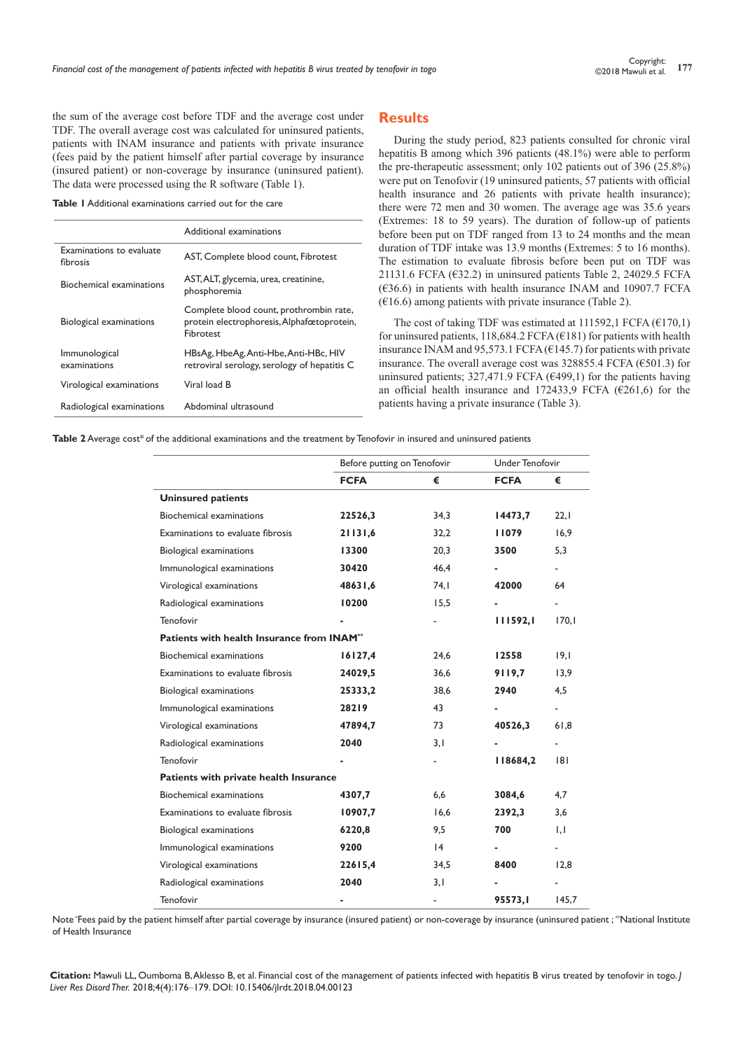the sum of the average cost before TDF and the average cost under TDF. The overall average cost was calculated for uninsured patients, patients with INAM insurance and patients with private insurance (fees paid by the patient himself after partial coverage by insurance (insured patient) or non-coverage by insurance (uninsured patient). The data were processed using the R software (Table 1).

**Table 1** Additional examinations carried out for the care

|                                      | Additional examinations                                                                            |
|--------------------------------------|----------------------------------------------------------------------------------------------------|
| Examinations to evaluate<br>fibrosis | AST, Complete blood count, Fibrotest                                                               |
| Biochemical examinations             | AST, ALT, glycemia, urea, creatinine,<br>phosphoremia                                              |
| Biological examinations              | Complete blood count, prothrombin rate,<br>protein electrophoresis, Alphafœtoprotein,<br>Fibrotest |
| Immunological<br>examinations        | HBsAg, HbeAg, Anti-Hbe, Anti-HBc, HIV<br>retroviral serology, serology of hepatitis C              |
| Virological examinations             | Viral load B                                                                                       |
| Radiological examinations            | Abdominal ultrasound                                                                               |

## **Results**

During the study period, 823 patients consulted for chronic viral hepatitis B among which 396 patients (48.1%) were able to perform the pre-therapeutic assessment; only 102 patients out of 396 (25.8%) were put on Tenofovir (19 uninsured patients, 57 patients with official health insurance and 26 patients with private health insurance); there were 72 men and 30 women. The average age was 35.6 years (Extremes: 18 to 59 years). The duration of follow-up of patients before been put on TDF ranged from 13 to 24 months and the mean duration of TDF intake was 13.9 months (Extremes: 5 to 16 months). The estimation to evaluate fibrosis before been put on TDF was 21131.6 FCFA ( $632.2$ ) in uninsured patients Table 2, 24029.5 FCFA (€36.6) in patients with health insurance INAM and 10907.7 FCFA  $(€16.6)$  among patients with private insurance (Table 2).

The cost of taking TDF was estimated at 111592,1 FCFA  $(€170,1)$ for uninsured patients, 118,684.2 FCFA ( $\epsilon$ 181) for patients with health insurance INAM and 95,573.1 FCFA ( $\epsilon$ 145.7) for patients with private insurance. The overall average cost was 328855.4 FCFA ( $\epsilon$ 501.3) for uninsured patients; 327,471.9 FCFA ( $\epsilon$ 499,1) for the patients having an official health insurance and 172433,9 FCFA ( $\epsilon$ 261,6) for the patients having a private insurance (Table 3).

Table 2 Average cost<sup>\*</sup> of the additional examinations and the treatment by Tenofovir in insured and uninsured patients

|                                            |             | Before putting on Tenofovir  |             | Under Tenofovir          |  |
|--------------------------------------------|-------------|------------------------------|-------------|--------------------------|--|
|                                            | <b>FCFA</b> | €                            | <b>FCFA</b> | €                        |  |
| <b>Uninsured patients</b>                  |             |                              |             |                          |  |
| Biochemical examinations                   | 22526,3     | 34,3                         | 14473,7     | 22,1                     |  |
| Examinations to evaluate fibrosis          | 21131,6     | 32,2                         | 11079       | 16,9                     |  |
| Biological examinations                    | 13300       | 20,3                         | 3500        | 5,3                      |  |
| Immunological examinations                 | 30420       | 46,4                         |             | $\blacksquare$           |  |
| Virological examinations                   | 48631,6     | 74,1                         | 42000       | 64                       |  |
| Radiological examinations                  | 10200       | 15,5                         |             |                          |  |
| Tenofovir                                  |             |                              | 111592,1    | 170,1                    |  |
| Patients with health Insurance from INAM** |             |                              |             |                          |  |
| Biochemical examinations                   | 16127,4     | 24.6                         | 12558       | 19.1                     |  |
| Examinations to evaluate fibrosis          | 24029,5     | 36,6                         | 9119,7      | 13,9                     |  |
| Biological examinations                    | 25333,2     | 38,6                         | 2940        | 4,5                      |  |
| Immunological examinations                 | 28219       | 43                           |             | $\blacksquare$           |  |
| Virological examinations                   | 47894,7     | 73                           | 40526,3     | 61,8                     |  |
| Radiological examinations                  | 2040        | 3,1                          |             |                          |  |
| Tenofovir                                  |             | $\qquad \qquad \blacksquare$ | 118684,2    | 8                        |  |
| Patients with private health Insurance     |             |                              |             |                          |  |
| Biochemical examinations                   | 4307,7      | 6,6                          | 3084,6      | 4,7                      |  |
| Examinations to evaluate fibrosis          | 10907,7     | 16,6                         | 2392,3      | 3,6                      |  |
| Biological examinations                    | 6220,8      | 9,5                          | 700         | 1,1                      |  |
| Immunological examinations                 | 9200        | $\overline{14}$              |             | $\overline{\phantom{a}}$ |  |
| Virological examinations                   | 22615,4     | 34,5                         | 8400        | 12,8                     |  |
| Radiological examinations                  | 2040        | 3,1                          |             |                          |  |
| Tenofovir                                  |             | ٠                            | 95573.I     | 145,7                    |  |

Note \*Fees paid by the patient himself after partial coverage by insurance (insured patient) or non-coverage by insurance (uninsured patient ; \*\*National Institute of Health Insurance

**Citation:** Mawuli LL, Oumboma B, Aklesso B, et al. Financial cost of the management of patients infected with hepatitis B virus treated by tenofovir in togo. *J Liver Res Disord Ther.* 2018;4(4):176‒179. DOI: [10.15406/jlrdt.2018.04.00123](https://doi.org/10.15406/jlrdt.2018.04.00123)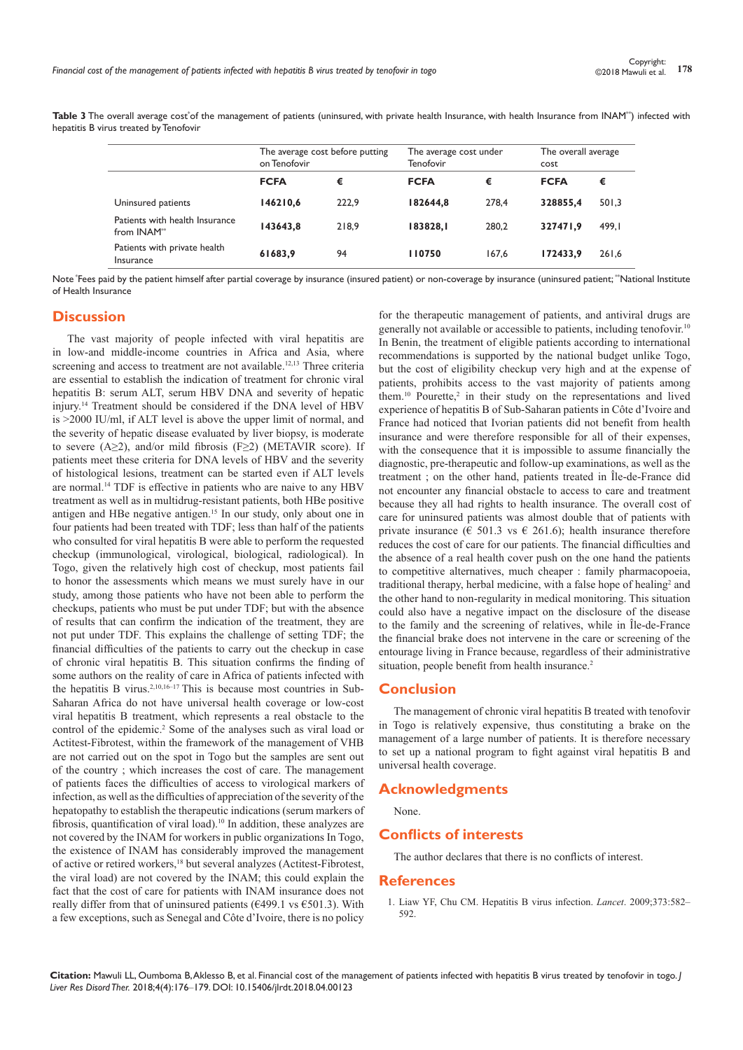Table 3 The overall average cost of the management of patients (uninsured, with private health Insurance, with health Insurance from INAM<sup>\*\*</sup>) infected with hepatitis B virus treated by Tenofovir

|                                                           | The average cost before putting<br>on Tenofovir |       | The average cost under<br>Tenofovir |       | The overall average<br>cost |        |
|-----------------------------------------------------------|-------------------------------------------------|-------|-------------------------------------|-------|-----------------------------|--------|
|                                                           | <b>FCFA</b>                                     | €     | <b>FCFA</b>                         | €     | <b>FCFA</b>                 | €      |
| Uninsured patients                                        | 146210,6                                        | 222.9 | 182644.8                            | 278.4 | 328855.4                    | 501,3  |
| Patients with health Insurance<br>from INAM <sup>**</sup> | 143643,8                                        | 218.9 | 183828,1                            | 280.2 | 327471.9                    | 499, I |
| Patients with private health<br>Insurance                 | 61683,9                                         | 94    | 110750                              | 167,6 | 172433.9                    | 261,6  |

Note \*Fees paid by the patient himself after partial coverage by insurance (insured patient) or non-coverage by insurance (uninsured patient; \*\*National Institute of Health Insurance

## **Discussion**

The vast majority of people infected with viral hepatitis are in low-and middle-income countries in Africa and Asia, where screening and access to treatment are not available.<sup>12,13</sup> Three criteria are essential to establish the indication of treatment for chronic viral hepatitis B: serum ALT, serum HBV DNA and severity of hepatic injury.14 Treatment should be considered if the DNA level of HBV is >2000 IU/ml, if ALT level is above the upper limit of normal, and the severity of hepatic disease evaluated by liver biopsy, is moderate to severe (A≥2), and/or mild fibrosis (F≥2) (METAVIR score). If patients meet these criteria for DNA levels of HBV and the severity of histological lesions, treatment can be started even if ALT levels are normal.14 TDF is effective in patients who are naive to any HBV treatment as well as in multidrug-resistant patients, both HBe positive antigen and HBe negative antigen.15 In our study, only about one in four patients had been treated with TDF; less than half of the patients who consulted for viral hepatitis B were able to perform the requested checkup (immunological, virological, biological, radiological). In Togo, given the relatively high cost of checkup, most patients fail to honor the assessments which means we must surely have in our study, among those patients who have not been able to perform the checkups, patients who must be put under TDF; but with the absence of results that can confirm the indication of the treatment, they are not put under TDF. This explains the challenge of setting TDF; the financial difficulties of the patients to carry out the checkup in case of chronic viral hepatitis B. This situation confirms the finding of some authors on the reality of care in Africa of patients infected with the hepatitis B virus.<sup>2,10,16-17</sup> This is because most countries in Sub-Saharan Africa do not have universal health coverage or low-cost viral hepatitis B treatment, which represents a real obstacle to the control of the epidemic.<sup>2</sup> Some of the analyses such as viral load or Actitest-Fibrotest, within the framework of the management of VHB are not carried out on the spot in Togo but the samples are sent out of the country ; which increases the cost of care. The management of patients faces the difficulties of access to virological markers of infection, as well as the difficulties of appreciation of the severity of the hepatopathy to establish the therapeutic indications (serum markers of fibrosis, quantification of viral load).10 In addition, these analyzes are not covered by the INAM for workers in public organizations In Togo, the existence of INAM has considerably improved the management of active or retired workers,18 but several analyzes (Actitest-Fibrotest, the viral load) are not covered by the INAM; this could explain the fact that the cost of care for patients with INAM insurance does not really differ from that of uninsured patients ( $\epsilon$ 499.1 vs  $\epsilon$ 501.3). With a few exceptions, such as Senegal and Côte d'Ivoire, there is no policy for the therapeutic management of patients, and antiviral drugs are generally not available or accessible to patients, including tenofovir.10 In Benin, the treatment of eligible patients according to international recommendations is supported by the national budget unlike Togo, but the cost of eligibility checkup very high and at the expense of patients, prohibits access to the vast majority of patients among them.<sup>10</sup> Pourette,<sup>2</sup> in their study on the representations and lived experience of hepatitis B of Sub-Saharan patients in Côte d'Ivoire and France had noticed that Ivorian patients did not benefit from health insurance and were therefore responsible for all of their expenses, with the consequence that it is impossible to assume financially the diagnostic, pre-therapeutic and follow-up examinations, as well as the treatment ; on the other hand, patients treated in Île-de-France did not encounter any financial obstacle to access to care and treatment because they all had rights to health insurance. The overall cost of care for uninsured patients was almost double that of patients with private insurance ( $\in$  501.3 vs  $\in$  261.6); health insurance therefore reduces the cost of care for our patients. The financial difficulties and the absence of a real health cover push on the one hand the patients to competitive alternatives, much cheaper : family pharmacopoeia, traditional therapy, herbal medicine, with a false hope of healing<sup>2</sup> and the other hand to non-regularity in medical monitoring. This situation could also have a negative impact on the disclosure of the disease to the family and the screening of relatives, while in Île-de-France the financial brake does not intervene in the care or screening of the entourage living in France because, regardless of their administrative situation, people benefit from health insurance.<sup>2</sup>

## **Conclusion**

The management of chronic viral hepatitis B treated with tenofovir in Togo is relatively expensive, thus constituting a brake on the management of a large number of patients. It is therefore necessary to set up a national program to fight against viral hepatitis B and universal health coverage.

#### **Acknowledgments**

None.

## **Conflicts of interests**

The author declares that there is no conflicts of interest.

#### **References**

1. [Liaw YF, Chu CM. Hepatitis B virus infection.](https://www.ncbi.nlm.nih.gov/pubmed/19217993) *Lancet*. 2009;373:582– [592.](https://www.ncbi.nlm.nih.gov/pubmed/19217993)